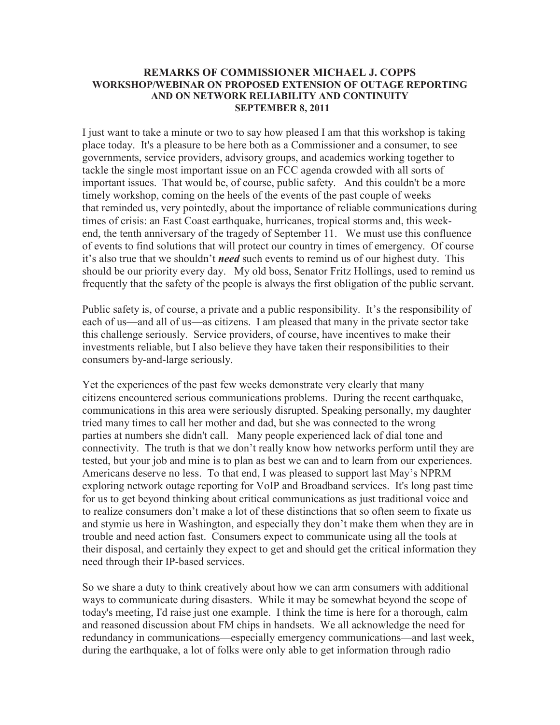## **REMARKS OF COMMISSIONER MICHAEL J. COPPS WORKSHOP/WEBINAR ON PROPOSED EXTENSION OF OUTAGE REPORTING AND ON NETWORK RELIABILITY AND CONTINUITY SEPTEMBER 8, 2011**

I just want to take a minute or two to say how pleased I am that this workshop is taking place today. It's a pleasure to be here both as a Commissioner and a consumer, to see governments, service providers, advisory groups, and academics working together to tackle the single most important issue on an FCC agenda crowded with all sorts of important issues. That would be, of course, public safety. And this couldn't be a more timely workshop, coming on the heels of the events of the past couple of weeks that reminded us, very pointedly, about the importance of reliable communications during times of crisis: an East Coast earthquake, hurricanes, tropical storms and, this weekend, the tenth anniversary of the tragedy of September 11. We must use this confluence of events to find solutions that will protect our country in times of emergency. Of course it's also true that we shouldn't *need* such events to remind us of our highest duty. This should be our priority every day. My old boss, Senator Fritz Hollings, used to remind us frequently that the safety of the people is always the first obligation of the public servant.

Public safety is, of course, a private and a public responsibility. It's the responsibility of each of us—and all of us—as citizens. I am pleased that many in the private sector take this challenge seriously. Service providers, of course, have incentives to make their investments reliable, but I also believe they have taken their responsibilities to their consumers by-and-large seriously.

Yet the experiences of the past few weeks demonstrate very clearly that many citizens encountered serious communications problems. During the recent earthquake, communications in this area were seriously disrupted. Speaking personally, my daughter tried many times to call her mother and dad, but she was connected to the wrong parties at numbers she didn't call. Many people experienced lack of dial tone and connectivity. The truth is that we don't really know how networks perform until they are tested, but your job and mine is to plan as best we can and to learn from our experiences. Americans deserve no less. To that end, I was pleased to support last May's NPRM exploring network outage reporting for VoIP and Broadband services. It's long past time for us to get beyond thinking about critical communications as just traditional voice and to realize consumers don't make a lot of these distinctions that so often seem to fixate us and stymie us here in Washington, and especially they don't make them when they are in trouble and need action fast. Consumers expect to communicate using all the tools at their disposal, and certainly they expect to get and should get the critical information they need through their IP-based services.

So we share a duty to think creatively about how we can arm consumers with additional ways to communicate during disasters. While it may be somewhat beyond the scope of today's meeting, I'd raise just one example. I think the time is here for a thorough, calm and reasoned discussion about FM chips in handsets. We all acknowledge the need for redundancy in communications—especially emergency communications—and last week, during the earthquake, a lot of folks were only able to get information through radio